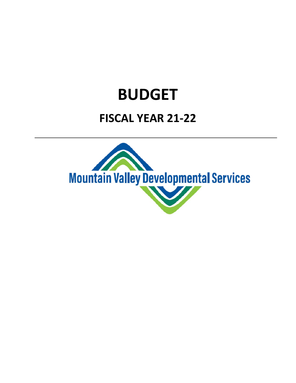## **BUDGET**

## **FISCAL YEAR 21‐22**